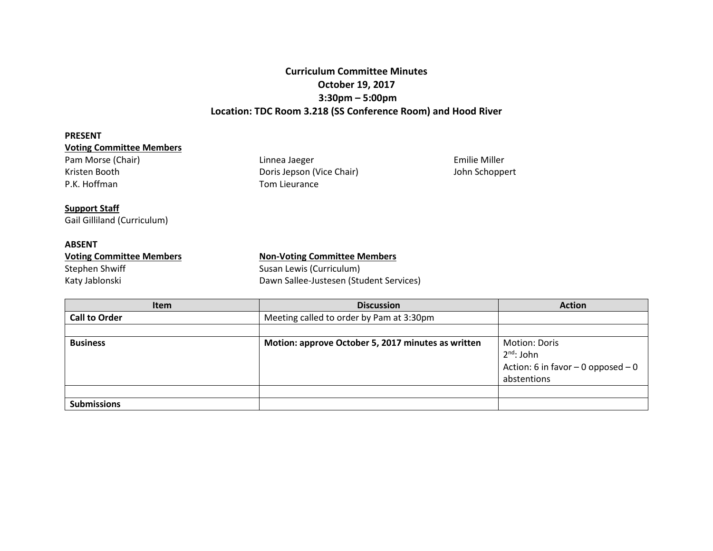# **Curriculum Committee Minutes October 19, 2017 3:30pm – 5:00pm Location: TDC Room 3.218 (SS Conference Room) and Hood River**

### **PRESENT**

## **Voting Committee Members**

Pam Morse (Chair) **Emilie Miller** Linnea Jaeger **Emilie Miller** Emilie Miller Kristen Booth **Doris Jepson (Vice Chair)** John Schoppert Doris Jepson (Vice Chair) John Schoppert P.K. Hoffman

### **Support Staff**

Gail Gilliland (Curriculum)

## **ABSENT**

| <b>Voting Committee Members</b> | <b>Non-Voting Committee Members</b>     |  |
|---------------------------------|-----------------------------------------|--|
| Stephen Shwiff                  | Susan Lewis (Curriculum)                |  |
| Katy Jablonski                  | Dawn Sallee-Justesen (Student Services) |  |

Tom Lieurance

| <b>Item</b>          | <b>Discussion</b>                                  | <b>Action</b>                                                                                    |
|----------------------|----------------------------------------------------|--------------------------------------------------------------------------------------------------|
| <b>Call to Order</b> | Meeting called to order by Pam at 3:30pm           |                                                                                                  |
|                      |                                                    |                                                                                                  |
| <b>Business</b>      | Motion: approve October 5, 2017 minutes as written | <b>Motion: Doris</b><br>$2^{nd}$ : John<br>Action: 6 in favor $-$ 0 opposed $-$ 0<br>abstentions |
|                      |                                                    |                                                                                                  |
| <b>Submissions</b>   |                                                    |                                                                                                  |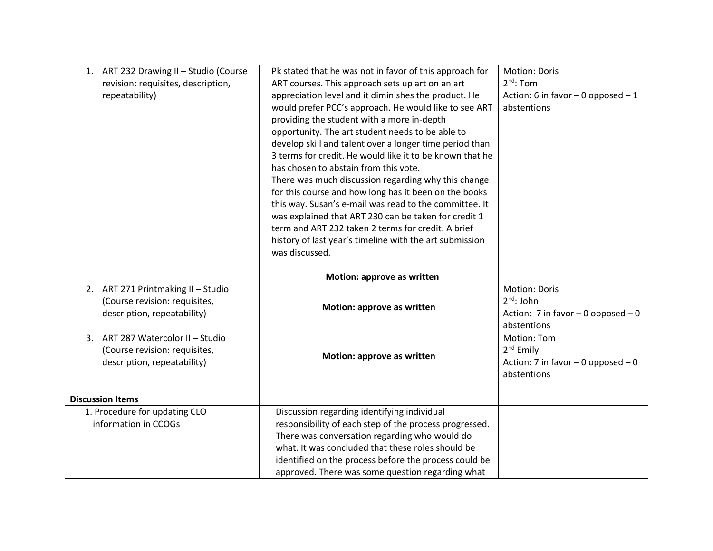| 1. ART 232 Drawing II - Studio (Course<br>revision: requisites, description,<br>repeatability)       | Pk stated that he was not in favor of this approach for<br>ART courses. This approach sets up art on an art<br>appreciation level and it diminishes the product. He<br>would prefer PCC's approach. He would like to see ART<br>providing the student with a more in-depth<br>opportunity. The art student needs to be able to<br>develop skill and talent over a longer time period than<br>3 terms for credit. He would like it to be known that he<br>has chosen to abstain from this vote.<br>There was much discussion regarding why this change<br>for this course and how long has it been on the books<br>this way. Susan's e-mail was read to the committee. It<br>was explained that ART 230 can be taken for credit 1<br>term and ART 232 taken 2 terms for credit. A brief | <b>Motion: Doris</b><br>$2^{nd}$ : Tom<br>Action: 6 in favor $-$ 0 opposed $-1$<br>abstentions |
|------------------------------------------------------------------------------------------------------|----------------------------------------------------------------------------------------------------------------------------------------------------------------------------------------------------------------------------------------------------------------------------------------------------------------------------------------------------------------------------------------------------------------------------------------------------------------------------------------------------------------------------------------------------------------------------------------------------------------------------------------------------------------------------------------------------------------------------------------------------------------------------------------|------------------------------------------------------------------------------------------------|
|                                                                                                      | history of last year's timeline with the art submission<br>was discussed.<br>Motion: approve as written                                                                                                                                                                                                                                                                                                                                                                                                                                                                                                                                                                                                                                                                                |                                                                                                |
| 2. ART 271 Printmaking II - Studio<br>(Course revision: requisites,<br>description, repeatability)   | Motion: approve as written                                                                                                                                                                                                                                                                                                                                                                                                                                                                                                                                                                                                                                                                                                                                                             | <b>Motion: Doris</b><br>$2^{nd}$ : John<br>Action: 7 in favor $-0$ opposed $-0$<br>abstentions |
| ART 287 Watercolor II - Studio<br>3.<br>(Course revision: requisites,<br>description, repeatability) | Motion: approve as written                                                                                                                                                                                                                                                                                                                                                                                                                                                                                                                                                                                                                                                                                                                                                             | <b>Motion: Tom</b><br>$2nd$ Emily<br>Action: 7 in favor $-$ 0 opposed $-$ 0<br>abstentions     |
| <b>Discussion Items</b>                                                                              |                                                                                                                                                                                                                                                                                                                                                                                                                                                                                                                                                                                                                                                                                                                                                                                        |                                                                                                |
| 1. Procedure for updating CLO<br>information in CCOGs                                                | Discussion regarding identifying individual<br>responsibility of each step of the process progressed.<br>There was conversation regarding who would do<br>what. It was concluded that these roles should be<br>identified on the process before the process could be<br>approved. There was some question regarding what                                                                                                                                                                                                                                                                                                                                                                                                                                                               |                                                                                                |